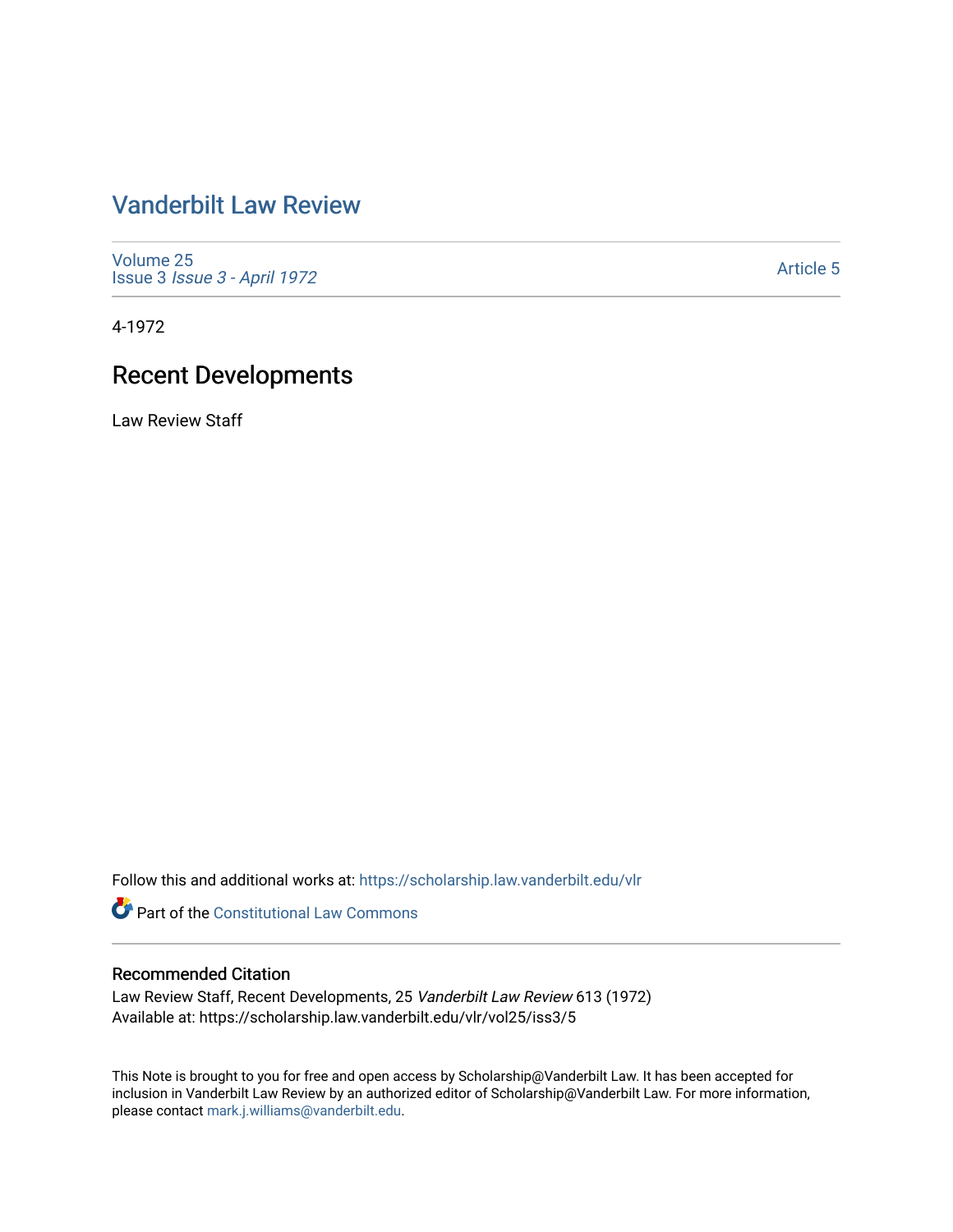# [Vanderbilt Law Review](https://scholarship.law.vanderbilt.edu/vlr)

[Volume 25](https://scholarship.law.vanderbilt.edu/vlr/vol25) Issue 3 [Issue 3 - April 1972](https://scholarship.law.vanderbilt.edu/vlr/vol25/iss3)

[Article 5](https://scholarship.law.vanderbilt.edu/vlr/vol25/iss3/5) 

4-1972

# Recent Developments

Law Review Staff

Follow this and additional works at: [https://scholarship.law.vanderbilt.edu/vlr](https://scholarship.law.vanderbilt.edu/vlr?utm_source=scholarship.law.vanderbilt.edu%2Fvlr%2Fvol25%2Fiss3%2F5&utm_medium=PDF&utm_campaign=PDFCoverPages)

**Part of the Constitutional Law Commons** 

## Recommended Citation

Law Review Staff, Recent Developments, 25 Vanderbilt Law Review 613 (1972) Available at: https://scholarship.law.vanderbilt.edu/vlr/vol25/iss3/5

This Note is brought to you for free and open access by Scholarship@Vanderbilt Law. It has been accepted for inclusion in Vanderbilt Law Review by an authorized editor of Scholarship@Vanderbilt Law. For more information, please contact [mark.j.williams@vanderbilt.edu.](mailto:mark.j.williams@vanderbilt.edu)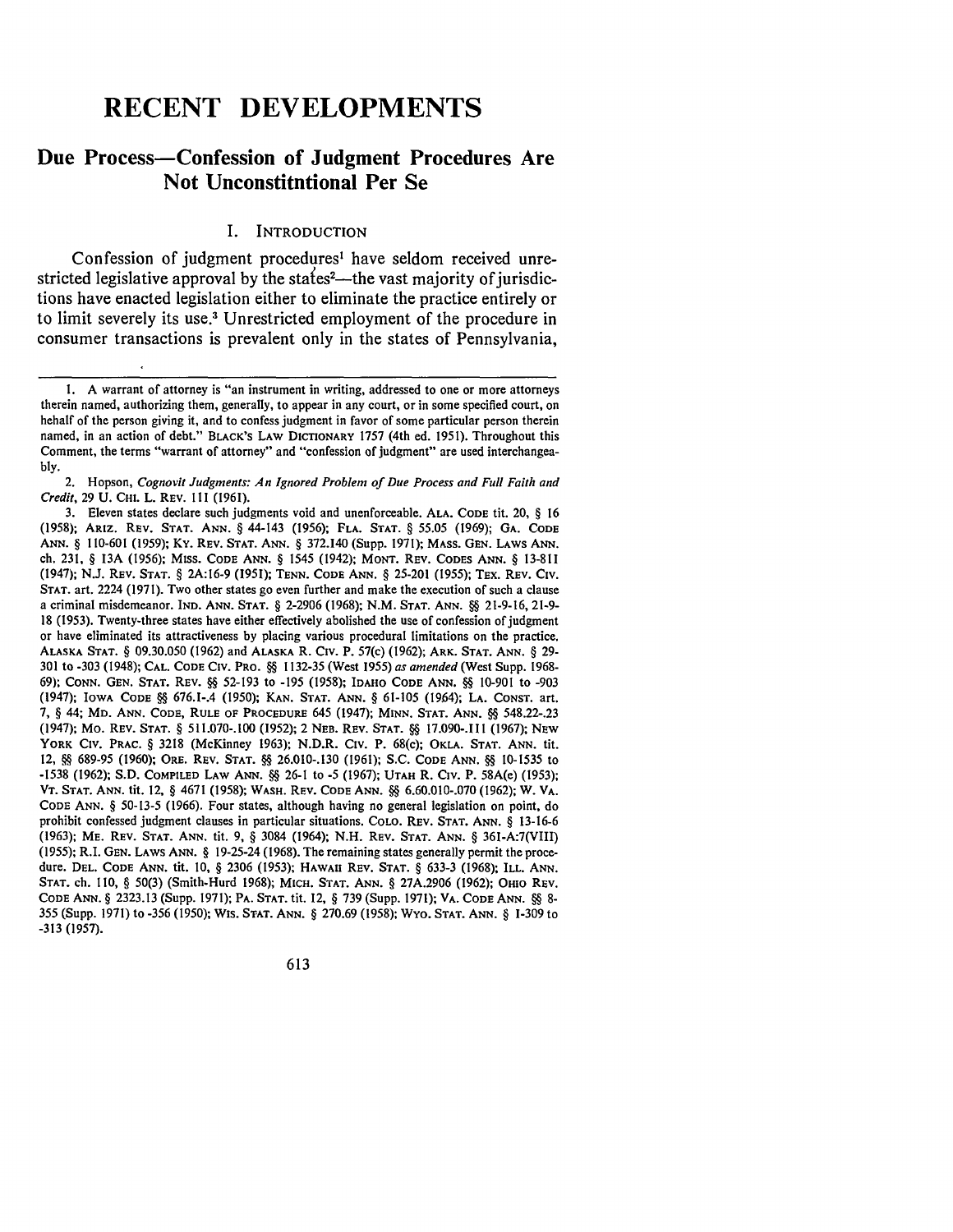# **RECENT DEVELOPMENTS**

# Due Process-Confession of Judgment Procedures Are Not Unconstitutional Per Se

#### **I.** INTRODUCTION

Confession of judgment procedures' have seldom received unrestricted legislative approval by the states<sup>2</sup>—the vast majority of jurisdictions have enacted legislation either to eliminate the practice entirely or to limit severely its **use.3** Unrestricted employment of the procedure in consumer transactions is prevalent only in the states of Pennsylvania,

2. Hopson, *Cognovit Judgments: An Ignored Problem of Due Process and Full Faith and Credit,* 29 U. **CHI.** L. REV. 111 (1961).

613

I. A warrant of attorney is "an instrument in writing, addressed to one or more attorneys therein named, authorizing them, generally, to appear in any court, or in some specified court, on behalf of the person giving it, and to confess judgment in favor of some particular person therein named, in an action of debt." BLACK'S **LAW** DICTIONARY 1757 (4th ed. 1951). Throughout this Comment, the terms "warrant of attorney" and "confession of judgment" are used interchangeably.

<sup>3.</sup> Eleven states declare such judgments void and unenforceable. **ALA. CODE** tit. 20, § 16 (1958); ARIz. **REv. STAT. ANN.** § 44-143 (1956); **FLA. STAT.** § **55.05** (1969); **GA. CODE ANN.** § 110-601 (1959); Ky. REV. **STAT. ANN.** § 372.140 (Supp. 1971); MASS. **GEN.** LAWS **ANN.** ch. 231, § 13A (1956); MISS. **CODE** ANN. § 1545 (1942); **MONT.** REV. **CODES ANN.** § 13-811 (1947); N.J. REV. **STAT.** § 2A:16-9 (1951); **TENN. CODE ANN.** § 25-201 (1955); TEX. REV. Civ. **STAT.** art. 2224 (1971). Two other states go even further and make the execution of such a clause a criminal misdemeanor. IND. **ANN. STAT.** § 2-2906 (1968); N.M. **STAT. ANN. §§** 21-9-16, 21-9- 18 (1953). Twenty-three states have either effectively abolished the use of confession of judgment or have eliminated its attractiveness by placing various procedural limitations on the practice. **ALASKA STAT.** § **09.30.050 (1962)** and **ALASKA** R. Civ. P. 57(c) **(1962); ARK. STAT. ANN.** § **29-** 301 to -303 (1948); **CAL. CODE Civ.** PRO. **§§** 1132-35 (West 1955) *as amended* (West Supp. 1968- 69); **CONN. GEN. STAT.** REV. **§§** 52-193 to -195 (1958); **IDAHO CODE ANN. §§** 10-901 to -903 (1947); IOWA **CODE §§** 676.1-.4 (1950); **KAN. STAT. ANN.** § 61-105 (19.64); **LA. CONST.** art. 7, § 44; MD. **ANN. CODE, RULE OF** PROCEDURE 645 (1947); **MINN. STAT. ANN. §§** 548.22-.23 (1947); Mo. REV. **STAT.** § 511.070-.100 (1952); 2 **NEB.** REV. **STAT. §§** 17.090-.111 (1967); **NEW** YORK **CIv.** PRAC. § 3218 (McKinney 1963); N.D.R. Civ. P. 68(c); **OKLA. STAT. ANN.** tit. 12, **§** 689-95 (1960); ORE. REV. **STAT. §§** 26.010-.130 (1961); S.C. **CODE ANN. §4** 10-1535 to -1538 (1962); S.D. **COMPILED LAW ANN. §§** 26-1 to -5 (1967); **UTAH** R. Civ. P. 58A(e) (1953); **VT. STAT. ANN.** tit. 12, § 4671 (1958); **WASH.** REV. **CODE ANN. §§** 6.60.010-.070 (1962); W. **VA. CODE ANN.** § 50-13-5 (1966). Four states, although having no general legislation on point, do prohibit confessed judgment clauses in particular situations. COLO. REV. **STAT. ANN.** § 13-16-6 (1963); ME. REV. **STAT. ANN.** tit. 9, § 3084 (1964); N.H. REV. **STAT. ANN.** § 361-A:7(VIII) **(1955);** R.I. GEN. LAWS **ANN.** § 19-25-24 (1968). The remaining states generally permit the procedure. **DEL. CODE ANN.** tit. **10,** § 2306 (1953); HAWAII REV. **STAT.** § 633-3 (1968); **ILL. ANN. STAT. ch.** 110, § 50(3) (Smith-Hurd 1968); MICH. **STAT. ANN.** § 27A.2906 (1962); OHIO REV. **CODE ANN.** § 2323.13 (Supp. 1971); **PA. STAT.** tit. 12, § 739 (Supp. 1971); VA. **CODE ANN. §4** 8- 355 (Supp. 1971) to -356 (1950); Wis. **STAT. ANN.** § 270.69 (1958); Wyo. **STAT. ANN.** § 1-309 to -313 (1957).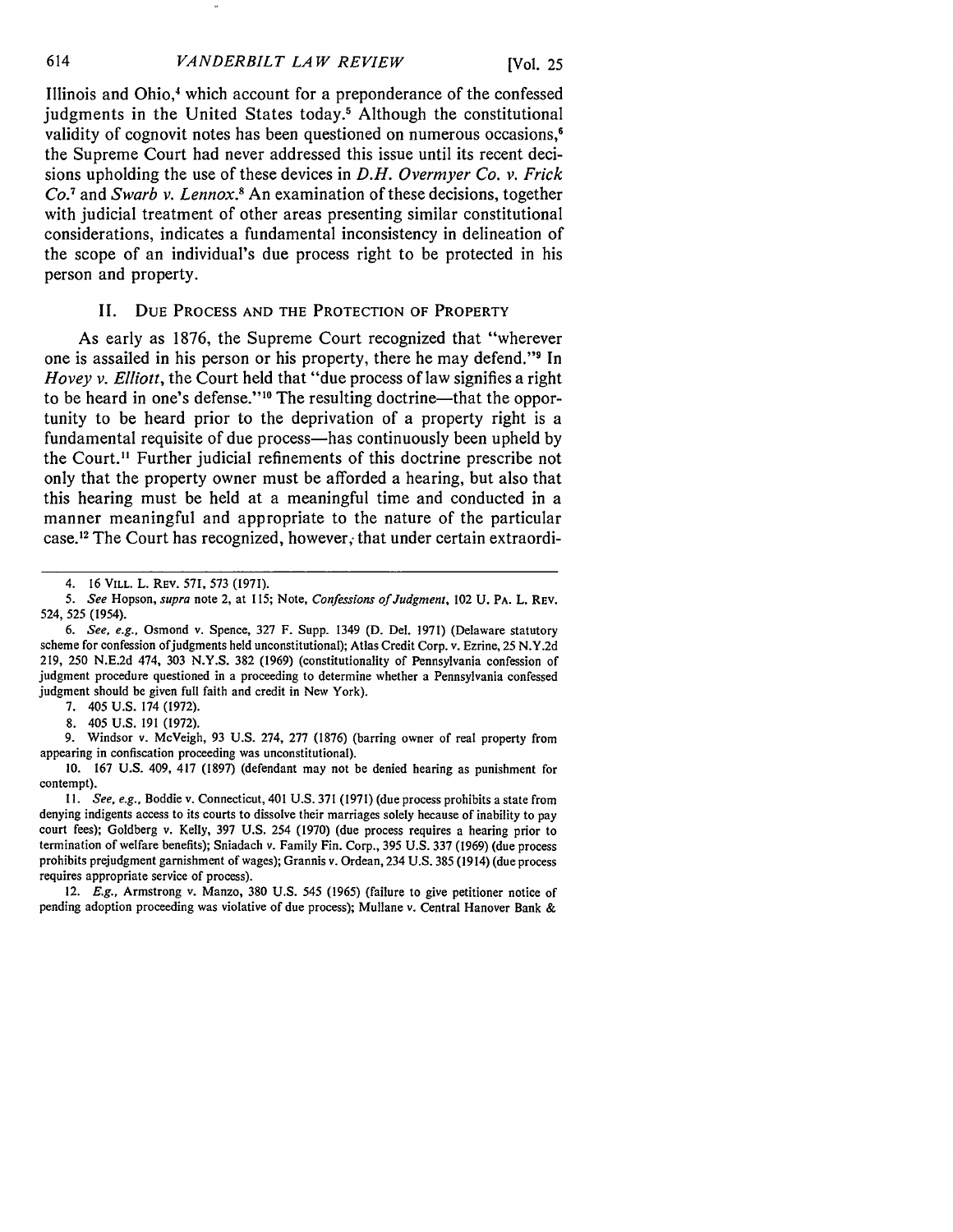Illinois and Ohio,<sup>4</sup> which account for a preponderance of the confessed judgments in the United States today.<sup>5</sup> Although the constitutional validity of cognovit notes has been questioned on numerous occasions, $\epsilon$ the Supreme Court had never addressed this issue until its recent decisions upholding the use of these devices in *D.H. Overmyer Co. v. Frick Co. <sup>7</sup>*and *Swarb v. Lennox.8* An examination of these decisions, together with judicial treatment of other areas presenting similar constitutional considerations, indicates a fundamental inconsistency in delineation of the scope of an individual's due process right to be protected in his person and property.

### II. DUE **PROCESS AND** THE PROTECTION OF PROPERTY

As early as 1876, the Supreme Court recognized that "wherever one is assailed in his person or his property, there he may defend."<sup>9</sup> In *Hovey v. Elliott,* the Court held that "due process of law signifies a right to be heard in one's defense."<sup>10</sup> The resulting doctrine—that the opportunity to be heard prior to the deprivation of a property right is a fundamental requisite of due process—has continuously been upheld by the Court." Further judicial refinements of this doctrine prescribe not only that the property owner must be afforded a hearing, but also that this hearing must be held at a meaningful time and conducted in a manner meaningful and appropriate to the nature of the particular case.<sup>12</sup> The Court has recognized, however, that under certain extraordi-

**7.** 405 U.S. 174 (1972).

8. 405 U.S. **191 (1972).**

9. Windsor v. McVeigh, **93** U.S. 274, **277 (1876)** (barring owner of real property from appearing in confiscation proceeding was unconstitutional).

**10. 167** U.S. 409, 417 (1897) (defendant may not be denied hearing as punishment for contempt).

*11. See, e.g.,* Boddie v. Connecticut, 401 U.S. 371 (1971) (due process prohibits a state from denying indigents access to its courts to dissolve their marriages solely because of inability to pay court fees); Goldberg v. Kelly, 397 U.S. 254 (1970) (due process requires a hearing prior to termination of welfare benefits); Sniadach v. Family Fin. Corp., 395 U.S. 337 (1969) (due process prohibits prejudgment garnishment of wages); Grannis v. Ordean, 234 U.S. 385 (1914) (due process requires appropriate service of process).

12. *E.g.,* Armstrong v. Manzo, 380 U.S. 545 (1965) (failure to give petitioner notice of pending adoption proceeding was violative of due process); Mullane v. Central Hanover Bank &

<sup>4. 16</sup> VILL. L. REV. **571, 573** (1971).

*<sup>5.</sup> See* Hopson, *supra* note 2, at 115; Note, *Confessions of Judgment,* 102 **U.** PA. L. **REV.** 524, 525 (1954).

*<sup>6.</sup> See, e.g.,* Osmond v. Spence, **327** F. Supp. 1349 **(D.** Del. 1971) (Delaware statutory scheme for confession of judgments held unconstitutional); Atlas Credit Corp. v. Ezrine, 25 N.Y.2d 219, 250 N.E.2d 474, **303** N.Y.S. **382** (1969) (constitutionality of Pennsylvania confession of judgment procedure questioned in a proceeding to determine whether a Pennsylvania confessed judgment should **be** given full faith and credit in New York).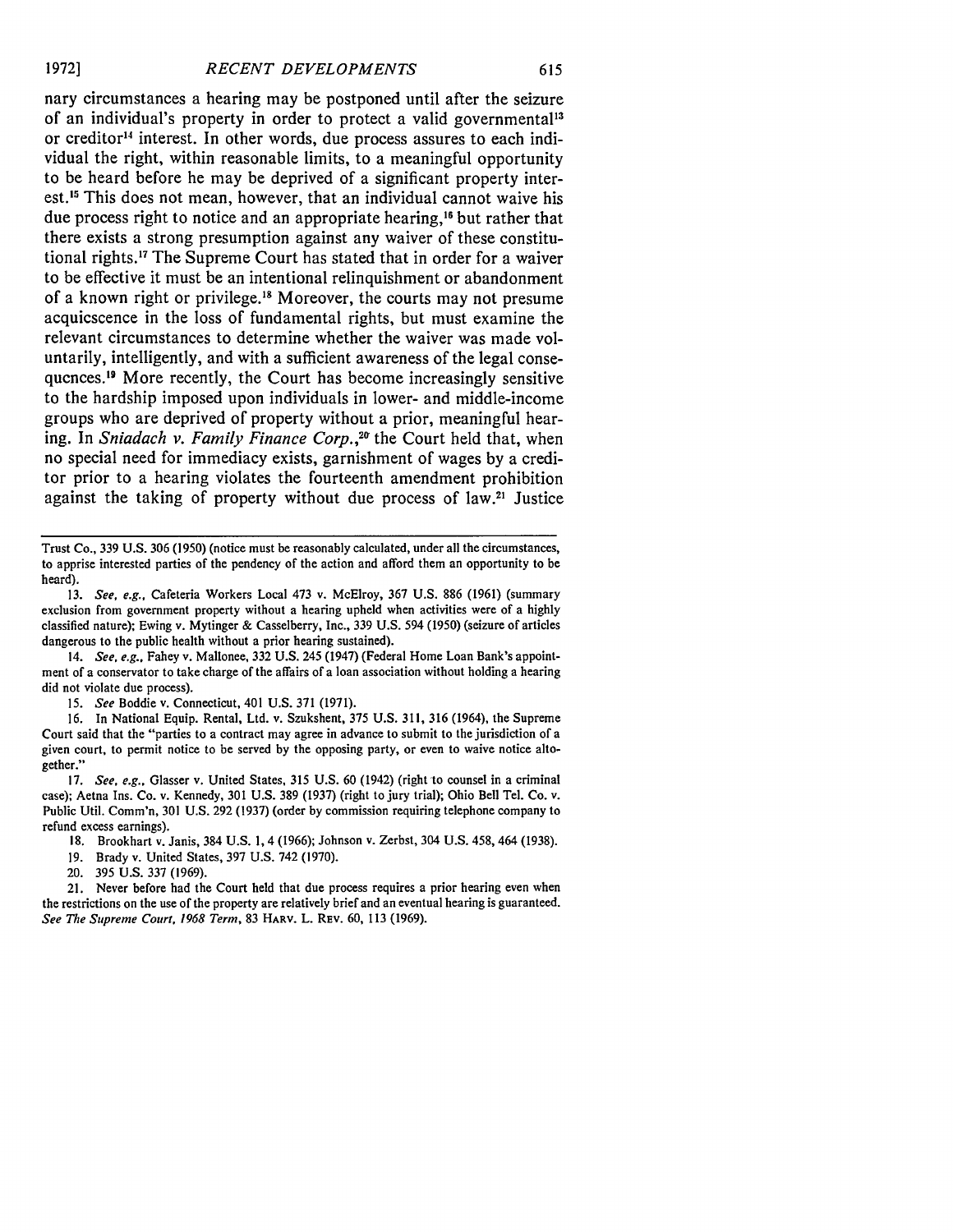nary circumstances a hearing may be postponed until after the seizure of an individual's property in order to protect a valid governmental<sup>13</sup> or creditor<sup>14</sup> interest. In other words, due process assures to each individual the right, within reasonable limits, to a meaningful opportunity to be heard before he may be deprived of a significant property interest.<sup>15</sup> This does not mean, however, that an individual cannot waive his due process right to notice and an appropriate hearing,<sup>16</sup> but rather that there exists a strong presumption against any waiver of these constitutional rights.<sup>17</sup> The Supreme Court has stated that in order for a waiver to be effective it must be an intentional relinquishment or abandonment of a known right or privilege.<sup>18</sup> Moreover, the courts may not presume acquiescence in the loss of fundamental rights, but must examine the relevant circumstances to determine whether the waiver was made voluntarily, intelligently, and with a sufficient awareness of the legal consequences." More recently, the Court has become increasingly sensitive to the hardship imposed upon individuals in lower- and middle-income groups who are deprived of property without a prior, meaningful hearing. In *Sniadach v. Family Finance Corp.,2 <sup>1</sup>*the Court held that, when no special need for immediacy exists, garnishment of wages **by** a creditor prior to a hearing violates the fourteenth amendment prohibition against the taking of property without due process of law.<sup>21</sup> Justice

Trust Co., 339 U.S. 306 (1950) (notice must be reasonably calculated, under all the circumstances, to apprise interested parties of the pendency of the action and afford them an opportunity to be heard).

13. *See, e.g.,* Cafeteria Workers Local 473 v. McElroy, 367 U.S. 886 (1961) (summary exclusion from government property without a hearing upheld when activities were of a highly classified nature); Ewing v. Mytinger & Casselberry, Inc., 339 U.S. 594 (1950) (seizure of articles dangerous to the public health without a prior hearing sustained).

14. *See, e.g.,* Fahey v. Mallonee, 332 U.S. 245 (1947) (Federal Home Loan Bank's appointment of a conservator to take charge of the affairs of a loan association without holding a hearing did not violate due process).

*15. See* Boddie v. Connecticut, 401 U.S. 371 (1971).

16. In National Equip. Rental, Ltd. v. Szukshent, 375 U.S. 311, 316 (1964), the Supreme Court said that the "parties to a contract may agree in advance to submit to the jurisdiction of a given court, to permit notice to be served by the opposing party, or even to waive notice altogether."

17. *See, e.g.,* Glasser v. United States, 315 U.S. 60 (1942) (right to counsel in a criminal case); Aetna Ins. Co. v. Kennedy, 301 U.S. 389 (1937) (right to jury trial); Ohio Bell Tel. Co. v. Public Util. Comm'n, 301 U.S. 292 (1937) (order by commission requiring telephone company to refund excess earnings).

18. Brookhart v. Janis, 384 U.S. 1, 4 (1966); Johnson v. Zerbst, 304 U.S. 458, 464 (1938).

- 19. Brady v. United States, 397 U.S. 742 (1970).
- 20. 395 U.S. 337 (1969).

21. Never before had the Court held that due process requires a prior hearing even when the restrictions on the use of the property are relatively brief and an eventual hearing is guaranteed. *See The Supreme Court, 1968 Term,* 83 HARV. L. REv. 60, 113 (1969).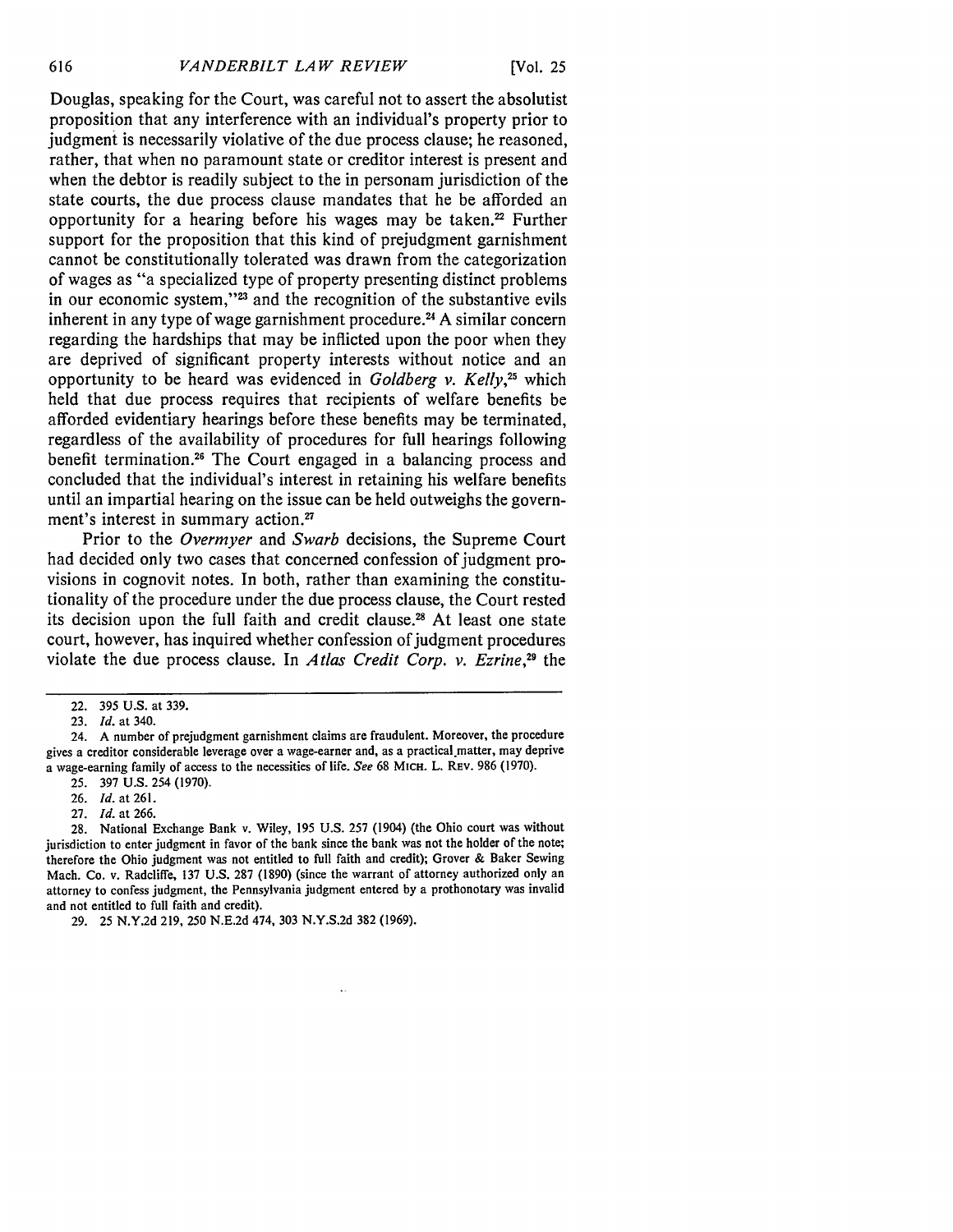Douglas, speaking for the Court, was careful not to assert the absolutist proposition that any interference with an individual's property prior to judgment is necessarily violative of the due process clause; he reasoned, rather, that when no paramount state or creditor interest is present and when the debtor is readily subject to the in personam jurisdiction of the state courts, the due process clause mandates that he be afforded an opportunity for a hearing before his wages may be taken. $22$  Further support for the proposition that this kind of prejudgment garnishment cannot be constitutionally tolerated was drawn from the categorization of wages as "a specialized type of property presenting distinct problems in our economic system,"<sup>23</sup> and the recognition of the substantive evils inherent in any type of wage garnishment procedure.<sup>24</sup> A similar concern regarding the hardships that may be inflicted upon the poor when they are deprived of significant property interests without notice and an opportunity to be heard was evidenced in *Goldberg v. Kelly,25* which held that due process requires that recipients of welfare benefits be afforded evidentiary hearings before these benefits may be terminated, regardless of the availability of procedures for full hearings following benefit termination.26 The Court engaged in a balancing process and concluded that the individual's interest in retaining his welfare benefits until an impartial hearing on the issue can be held outweighs the government's interest in summary action.<sup>27</sup>

Prior to the *Overmyer* and *Swarb* decisions, the Supreme Court had decided only two cases that concerned confession of judgment provisions in cognovit notes. In both, rather than examining the constitutionality of the procedure under the due process clause, the Court rested its decision upon the full faith and credit clause.<sup>28</sup> At least one state court, however, has inquired whether confession of judgment procedures violate the due process clause. In *Atlas Credit Corp. v. Ezrine*,<sup>29</sup> the

24. A number of prejudgment garnishment claims are fraudulent. Moreover, the procedure gives a creditor considerable leverage over a wage-earner and, as a practical.matter, may deprive a wage-earning family of access to the necessities of life. *See* 68 MICH. L. REv. 986 (1970).

28. National Exchange Bank v. Wiley, 195 U.S. **257** (1904) (the Ohio court was without jurisdiction to enter judgment in favor of the bank since the bank was not the holder of the note; therefore the Ohio judgment was not entitled to full faith and credit); Grover & Baker Sewing Mach. Co. v. Radcliffe, 137 U.S. 287 (1890) (since the warrant of attorney authorized only an attorney to confess judgment, the Pennsylvania judgment entered by a prothonotary was invalid and not entitled to full faith and credit).

29. 25 N.Y.2d 219, 250 N.E.2d 474, 303 N.Y.S.2d 382 (1969).

<sup>22.</sup> **395** U.S. at 339.

<sup>23.</sup> *Id.* at 340.

<sup>25. 397</sup> U.S. 254 (1970).

<sup>26.</sup> *Id.* at 261.

<sup>27.</sup> *Id.* at 266.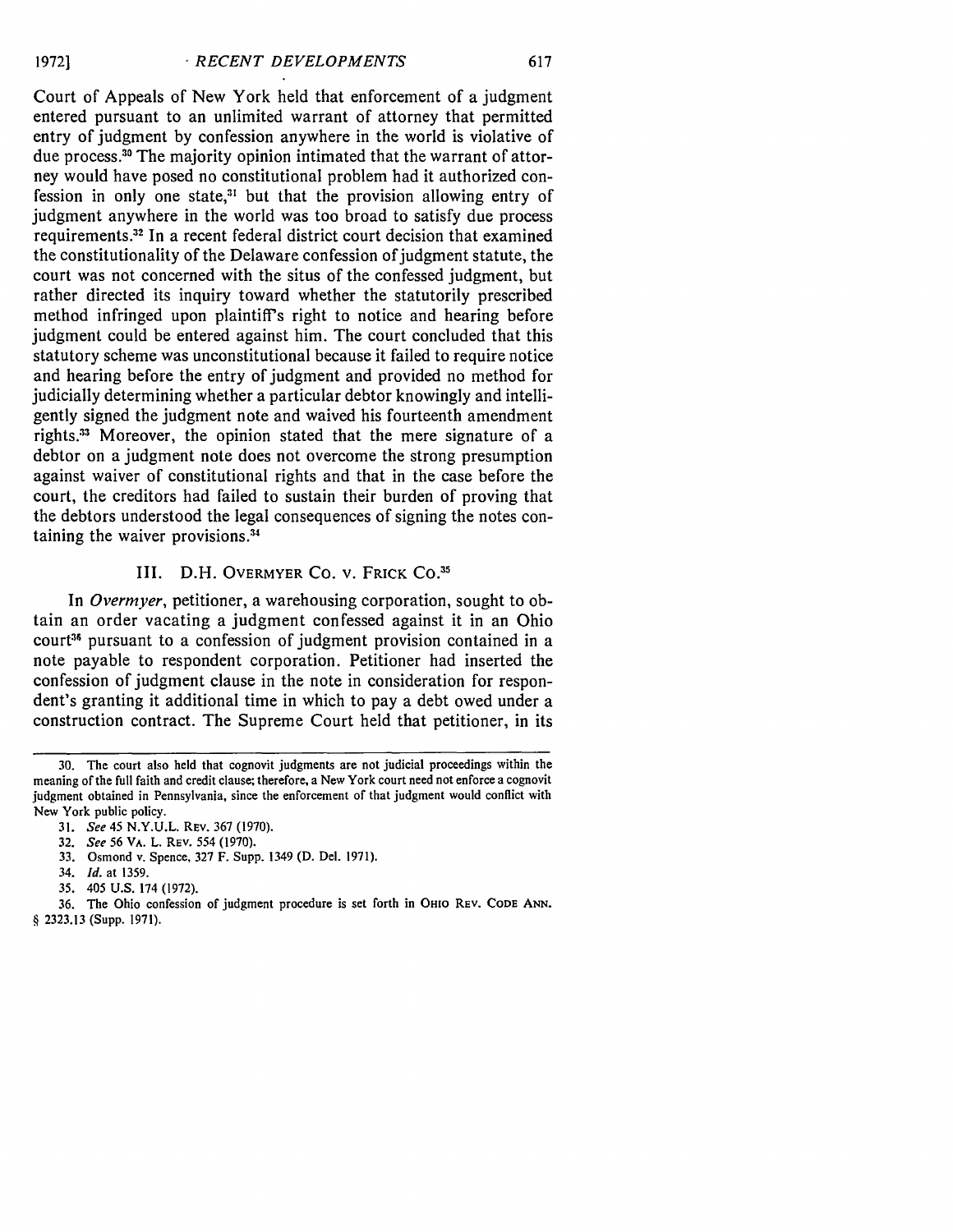Court of Appeals of New York held that enforcement of a judgment entered pursuant to an unlimited warrant of attorney that permitted entry of judgment by confession anywhere in the world is violative of due process **. 3** The majority opinion intimated that the warrant of attorney would have posed no constitutional problem had it authorized confession in only one state, $31$  but that the provision allowing entry of judgment anywhere in the world was too broad to satisfy due process requirements.<sup>32</sup> In a recent federal district court decision that examined the constitutionality of the Delaware confession of judgment statute, the court was not concerned with the situs of the confessed judgment, but rather directed its inquiry toward whether the statutorily prescribed method infringed upon plaintiff's right to notice and hearing before judgment could be entered against him. The court concluded that this statutory scheme was unconstitutional because it failed to require notice and hearing before the entry of judgment and provided no method for judicially determining whether a particular debtor knowingly and intelligently signed the judgment note and waived his fourteenth amendment rights.<sup>33</sup> Moreover, the opinion stated that the mere signature of a debtor on a judgment note does not overcome the strong presumption against waiver of constitutional rights and that in the case before the court, the creditors had failed to sustain their burden of proving that the debtors understood the legal consequences of signing the notes containing the waiver provisions.<sup>34</sup>

### III. D.H. OVERMYER CO. v. FRICK **CO.3 <sup>5</sup>**

In *Overmyer,* petitioner, a warehousing corporation, sought to obtain an order vacating a judgment confessed against it in an Ohio court<sup>36</sup> pursuant to a confession of judgment provision contained in a note payable to respondent corporation. Petitioner had inserted the confession of judgment clause in the note in consideration for respondent's granting it additional time in which to pay a debt owed under a construction contract. The Supreme Court held that petitioner, in its

- 33. Osmond v. Spence, 327 F. Supp. 1349 (D. Del. 1971).
- 34. *Id.* at 1359.
- 35. 405 U.S. 174 (1972).

36. The Ohio confession of judgment procedure is set forth in **Onto** REV. **CODE ANN.** § 2323.13 (Supp. 1971).

<sup>30.</sup> The court also held that cognovit judgments are not judicial proceedings within the meaning of the full faith and credit clause; therefore, a New York court need not enforce a cognovit judgment obtained in Pennsylvania, since the enforcement of that judgment would conflict with New York public policy.

<sup>31.</sup> *See 45* N.Y.U.L. REV. 367 (1970).

<sup>32.</sup> *See 56* VA. L. REV. *554* (1970).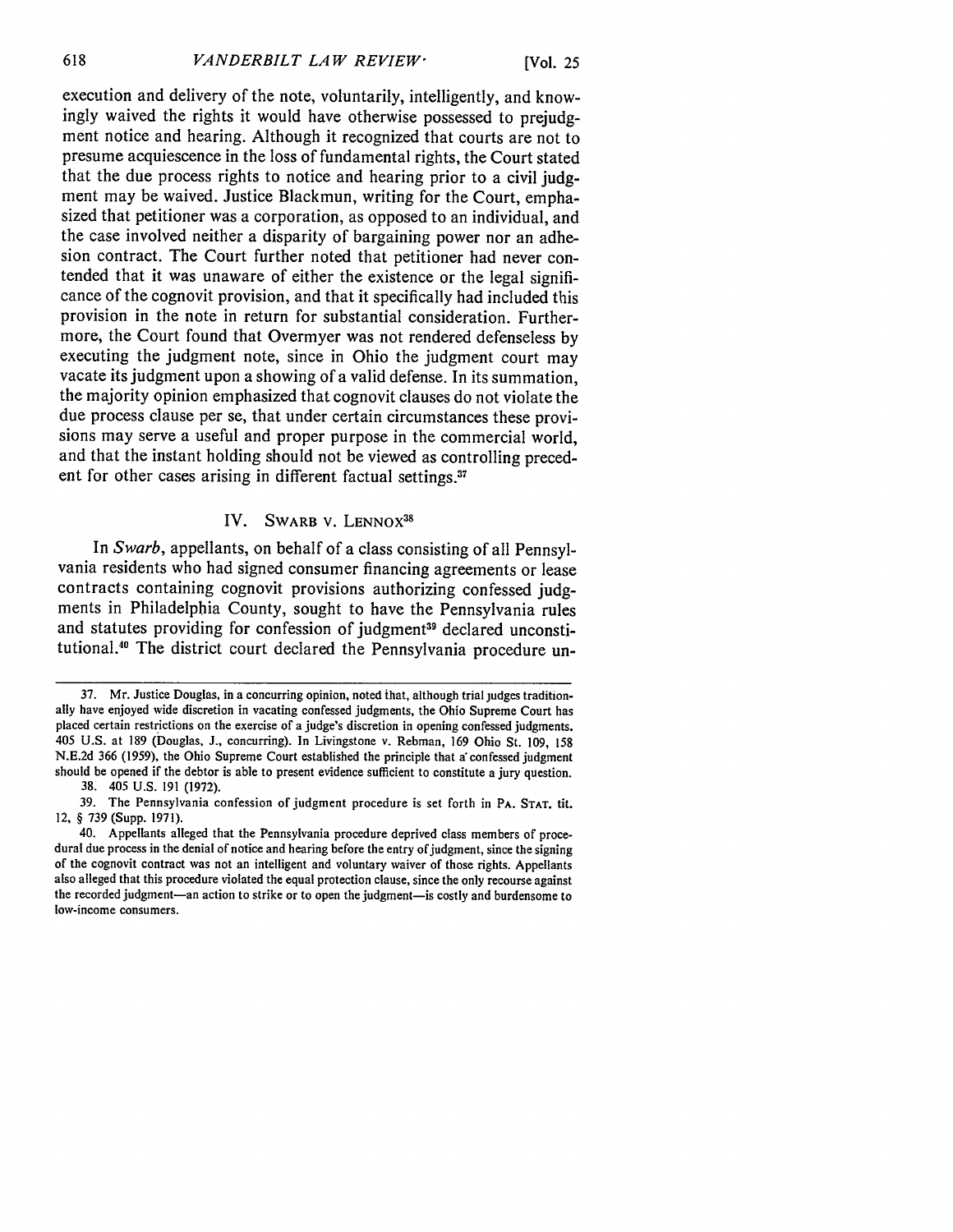[Vol. **25**

execution and delivery of the note, voluntarily, intelligently, and knowingly waived the rights it would have otherwise possessed to prejudgment notice and hearing. Although it recognized that courts are not to presume acquiescence in the loss of fundamental rights, the Court stated that the due process rights to notice and hearing prior to a civil **judg**ment may be waived. Justice Blackmun, writing for the Court, emphasized that petitioner was a corporation, as opposed to an individual, and the case involved neither a disparity of bargaining power nor an adhesion contract. The Court further noted that petitioner had never contended that it was unaware of either the existence or the legal significance of the cognovit provision, and that it specifically had included this provision in the note in return for substantial consideration. Furthermore, the Court found that Overmyer was not rendered defenseless **by** executing the judgment note, since in Ohio the judgment court may vacate its judgment upon a showing of a valid defense. In its summation, the majority opinion emphasized that cognovit clauses do not violate the due process clause per se, that under certain circumstances these provisions may serve a useful and proper purpose in the commercial world, and that the instant holding should not be viewed as controlling precedent for other cases arising in different factual settings.<sup>37</sup>

### IV. SWARB V. LENNOX<sup>38</sup>

In *Swarb,* appellants, on behalf of a class consisting of all Pennsylvania residents who had signed consumer financing agreements or lease contracts containing cognovit provisions authorizing confessed **judg**ments in Philadelphia County, sought to have the Pennsylvania rules and statutes providing for confession of judgment<sup>39</sup> declared unconstitutional.<sup>40</sup> The district court declared the Pennsylvania procedure un-

**<sup>37.</sup>** Mr. Justice Douglas, in a concurring opinion, noted ihat, although trial judges traditionally have enjoyed wide discretion in vacating confessed judgments, the Ohio Supreme Court has placed certain restrictions on the exercise of a judge's discretion in opening confessed judgments. 405 U.S. at 189 (Douglas, J., concurring). In Livingstone v. Rebman, 169 Ohio St. 109, 158 N.E.2d 366 (1959), the Ohio Supreme Court established the principle that a confessed judgment should be opened if the debtor is able to present evidence sufficient to constitute a jury question.

<sup>38. 405</sup> U.S. 191 (1972).

<sup>39.</sup> The Pennsylvania confession of judgment procedure is set forth in PA. **STAT. tit.** 12, § 739 (Supp. 1971).

<sup>40.</sup> Appellants alleged that the Pennsylvania procedure deprived class members of procedural due process in the denial of notice and hearing before the entry of judgment, since the signing of the cognovit contract was not an intelligent and voluntary waiver of those rights. Appellants also alleged that this procedure violated the equal protection clause, since the only recourse against the recorded judgment-an action to strike or to open the judgment-is costly and burdensome to low-income consumers.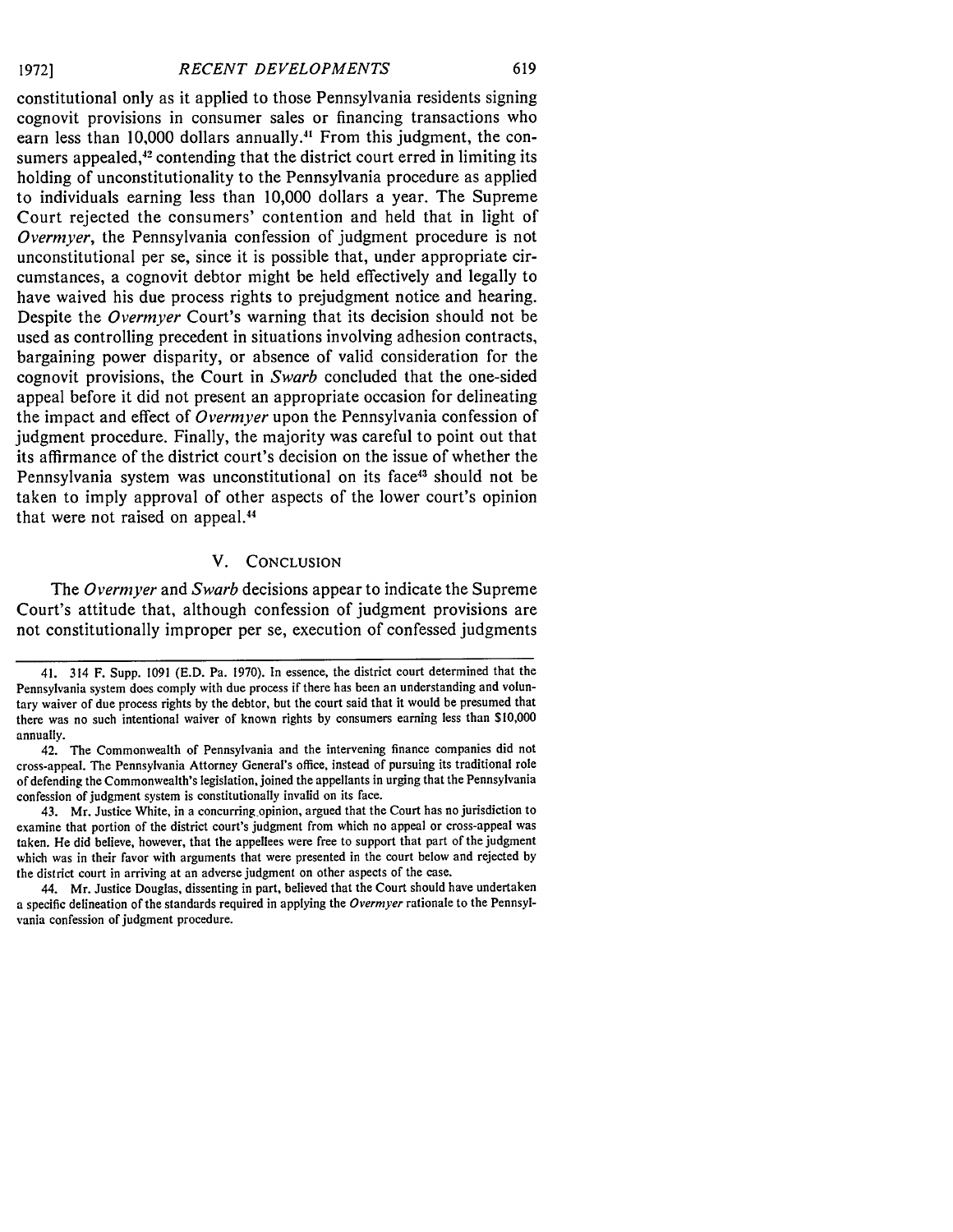**19721**

constitutional only as it applied to those Pennsylvania residents signing cognovit provisions in consumer sales or financing transactions who earn less than **10,000** dollars annually." From this judgment, the consumers appealed,<sup>42</sup> contending that the district court erred in limiting its holding of unconstitutionality to the Pennsylvania procedure as applied to individuals earning less than **10,000** dollars a year. The Supreme Court rejected the consumers' contention and held that in light of *Overmyer,* the Pennsylvania confession of judgment procedure is not unconstitutional per se, since it is possible that, under appropriate circumstances, a cognovit debtor might be held effectively and legally to have waived his due process rights to prejudgment notice and hearing. Despite the *Overmyer* Court's warning that its decision should not be used as controlling precedent in situations involving adhesion contracts, bargaining power disparity, or absence of valid consideration for the cognovit provisions, the Court in *Swarb* concluded that the one-sided appeal before it did not present an appropriate occasion for delineating the impact and effect of *Overmyer* upon the Pennsylvania confession of judgment procedure. Finally, the majority was careful to point out that its affirmance of the district court's decision on the issue of whether the Pennsylvania system was unconstitutional on its face<sup>43</sup> should not be taken to imply approval of other aspects of the lower court's opinion that were not raised on appeal.<sup>44</sup>

#### V. **CONCLUSION**

The *Overmyer* and *Swarb* decisions appear to indicate the Supreme Court's attitude that, although confession of judgment provisions are not constitutionally improper per se, execution of confessed judgments

<sup>41. 314</sup> F. Supp. 1091 (E.D. Pa. 1970). In essence, the district court determined that the Pennsylvania system does comply with due process if there has been an understanding and voluntary waiver of due process rights **by** the debtor, but the court said that it would be presumed that there was no such intentional waiver of known rights **by** consumers earning less than \$10,000 annually.

<sup>42.</sup> The Commonwealth of Pennsylvania and the intervening finance companies did not cross-appeal. The Pennsylvania Attorney General's office, instead of pursuing its traditional role of defending the Commonwealth's legislation, joined the appellants in urging that the Pennsylvania confession of judgment system is constitutionally invalid on its face.

<sup>43.</sup> Mr. Justice White, in a concurring opinion, argued that the Court has no jurisdiction to examine that portion of the district court's judgment from which no appeal or cross-appeal was taken. He did believe, however, that the appellees were free to support that part of the judgment which was in their favor with arguments that were presented in the court below and rejected by the district court in arriving at an adverse judgment on other aspects of the case.

<sup>44.</sup> Mr. Justice Douglas, dissenting in part, believed that the Court should have undertaken a specific delineation of the standards required in applying the **Overmyer** rationale to the Pennsylvania confession of judgment procedure.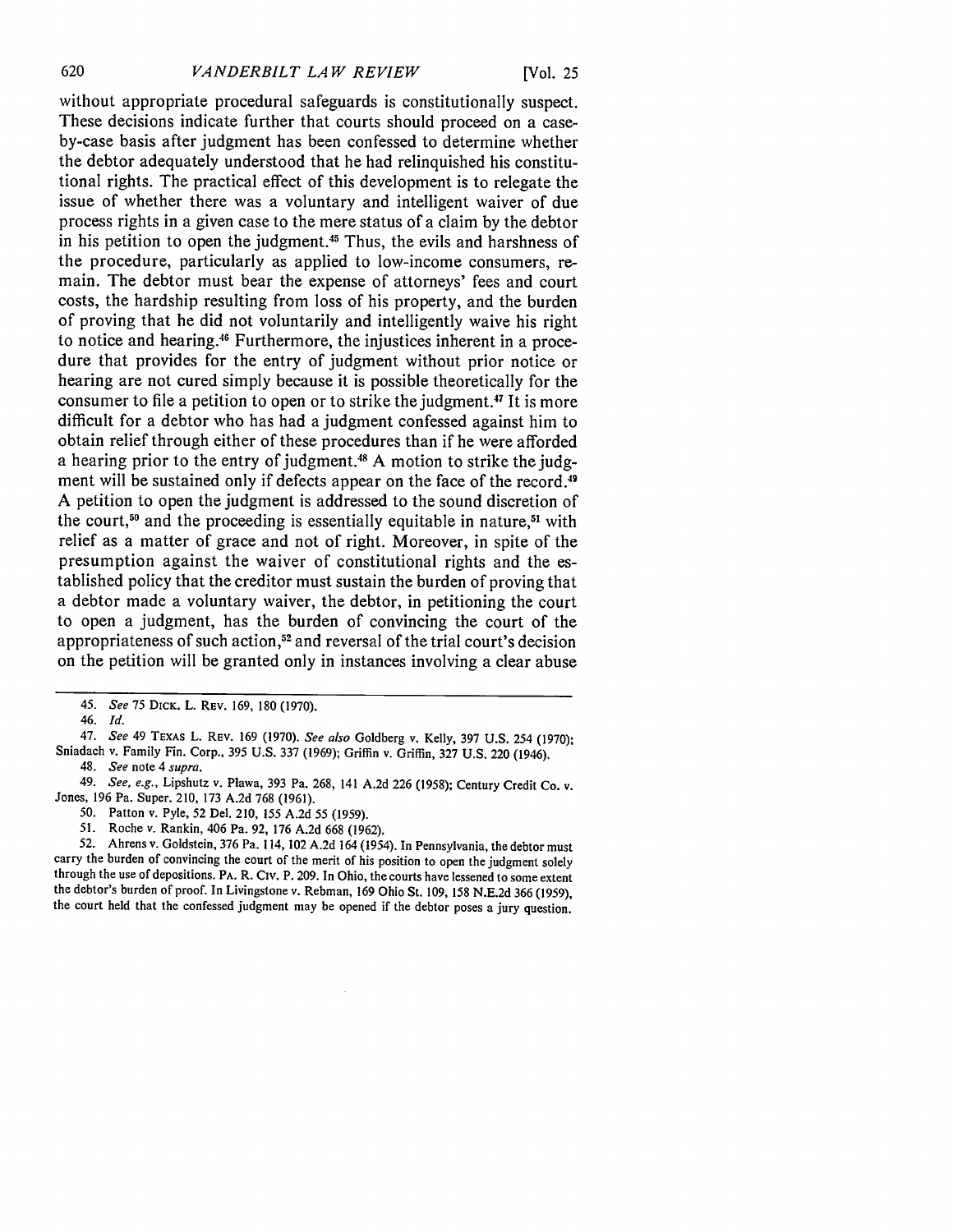without appropriate procedural safeguards is constitutionally suspect. These decisions indicate further that courts should proceed on a caseby-case basis after judgment has been confessed to determine whether the debtor adequately understood that he had relinquished his constitutional rights. The practical effect of this development is to relegate the issue of whether there was a voluntary and intelligent waiver of due process rights in a given case to the mere status of a claim **by** the debtor in his petition to open the judgment.<sup>45</sup> Thus, the evils and harshness of the procedure, particularly as applied to low-income consumers, remain. The debtor must bear the expense of attorneys' fees and court costs, the hardship resulting from loss of his property, and the burden of proving that he did not voluntarily and intelligently waive his right to notice and hearing.46 Furthermore, the injustices inherent in a procedure that provides for the entry of judgment without prior notice or hearing are not cured simply because it is possible theoretically for the consumer to file a petition to open or to strike the judgment.<sup>47</sup> It is more difficult for a debtor who has had a judgment confessed against him to obtain relief through either of these procedures than if he were afforded a hearing prior to the entry of judgment.<sup>48</sup> A motion to strike the judgment will be sustained only if defects appear on the face of the record.<sup>49</sup> **A** petition to open the judgment is addressed to the sound discretion of the court,<sup>50</sup> and the proceeding is essentially equitable in nature,<sup>51</sup> with relief as a matter of grace and not of right. Moreover, in spite of the presumption against the waiver of constitutional rights and the established policy that the creditor must sustain the burden of proving that a debtor made a voluntary waiver, the debtor, in petitioning the court to open a judgment, has the burden of convincing the court of the appropriateness of such action,<sup>52</sup> and reversal of the trial court's decision on the petition will be granted only in instances involving a clear abuse

47. *See* 49 **TEXAS** L. **REV. 169 (1970).** *See also* Goldberg v. Kelly, **397 U.S.** 254 **(1970);** Sniadach v. Family Fin. Corp., **395 U.S. 337 (1969);** Griffin v. Griffin, **327 U.S.** 220 (1946).

48. *See* note 4 *supra.*

**50.** Patton v. Pyle, **52** Del. 210, **155 A.2d 55 (1959).**

**52.** Ahrens v. Goldstein, **376** Pa. 114, 102 **A.2d** 164 **(1954).** In Pennsylvania, the debtor must carry the burden of convincing the court of the merit of his position to open the judgment solely through the use of depositions. PA. R. Civ. P. **209.** In Ohio, the courts have lessened to some extent the debtor's burden of proof. In Livingstone v. Rebman, **169** Ohio St. **109, 158 N.E.2d 366 (1959),** the court held that the confessed judgment may be opened if the debtor poses a jury question.

*<sup>45.</sup> See* **75 DICK.** L. **REV. 169, 180 (1970).**

*<sup>46.</sup> Id.*

<sup>49.</sup> *See, e.g.,* Lipshutz v. Plawa, **393** Pa. **268,** 141 **A.2d 226 (1958);** Century Credit **Co. v.** Jones, **196** Pa. Super. 210, **173 A.2d 768 (1961).**

**<sup>51.</sup>** Roche v. Rankin, 406 Pa. **92, 176 A.2d 668 (1962).**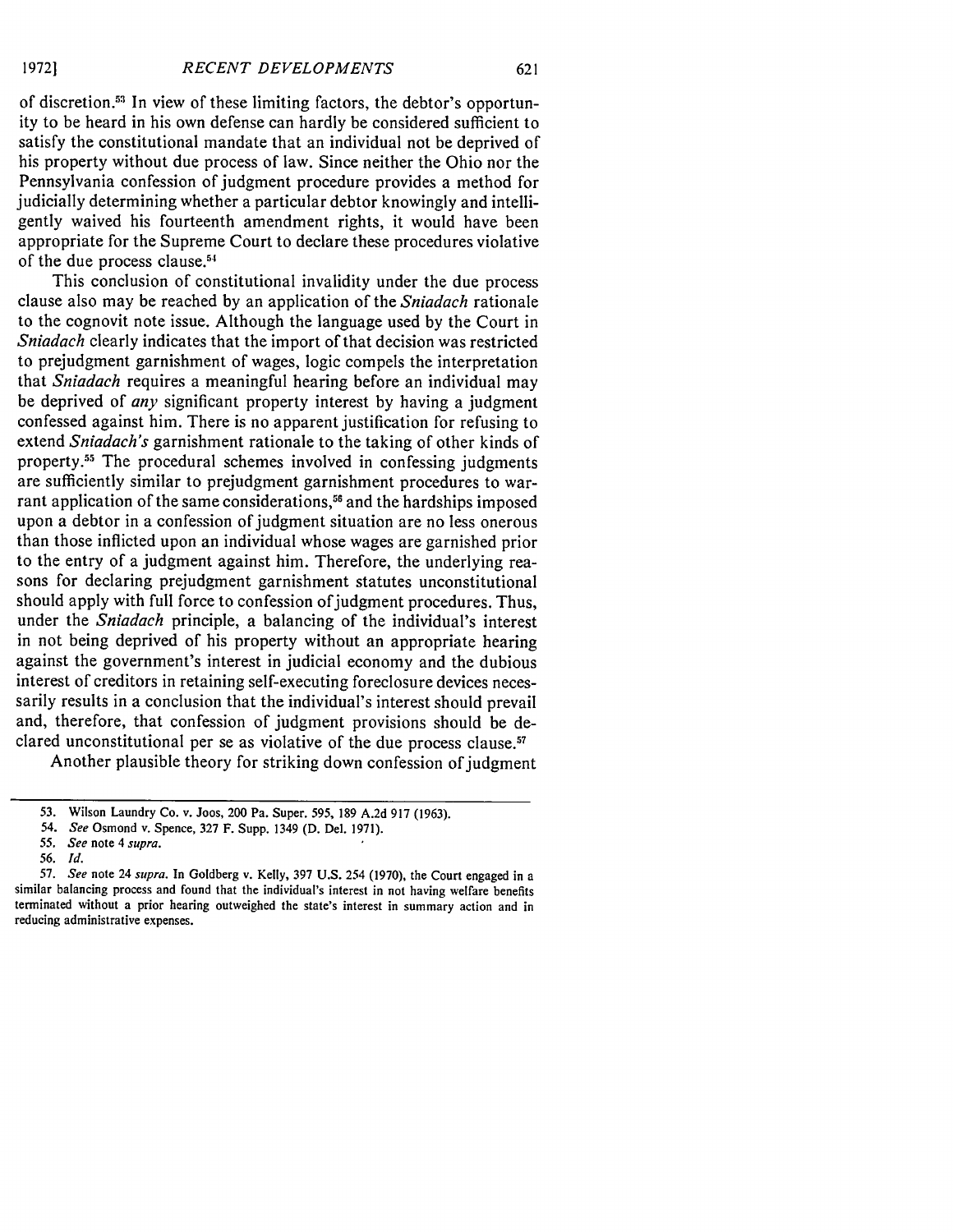**19721**

of discretion.53 In view of these limiting factors, the debtor's opportunity to be heard in his own defense can hardly be considered sufficient to satisfy the constitutional mandate that an individual not be deprived of his property without due process of law. Since neither the Ohio nor the Pennsylvania confession of judgment procedure provides a method for judicially determining whether a particular debtor knowingly and intelligently waived his fourteenth amendment rights, it would have been appropriate for the Supreme Court to declare these procedures violative of the due process clause.<sup>54</sup>

This conclusion of constitutional invalidity under the due process clause also may be reached by an application of the *Sniadach* rationale to the cognovit note issue. Although the language used by the Court in *Sniadach* clearly indicates that the import of that decision was restricted to prejudgment garnishment of wages, logic compels the interpretation that *Sniadach* requires a meaningful hearing before an individual may be deprived of *any* significant property interest by having a judgment confessed against him. There is no apparent justification for refusing to extend *Sniadach's* garnishment rationale to the taking of other kinds of property.5 The procedural schemes involved in confessing judgments are sufficiently similar to prejudgment garnishment procedures to warrant application of the same considerations,<sup>56</sup> and the hardships imposed upon a debtor in a confession of judgment situation are no less onerous than those inflicted upon an individual whose wages are garnished prior to the entry of a judgment against him. Therefore, the underlying reasons for declaring prejudgment garnishment statutes unconstitutional should apply with full force to confession of judgment procedures. Thus, under the *Sniadach* principle, a balancing of the individual's interest in not being deprived of his property without an appropriate hearing against the government's interest in judicial economy and the dubious interest of creditors in retaining self-executing foreclosure devices necessarily results in a conclusion that the individual's interest should prevail and, therefore, that confession of judgment provisions should be declared unconstitutional per se as violative of the due process clause.<sup>57</sup>

Another plausible theory for striking down confession of judgment

<sup>53.</sup> Wilson Laundry Co. v. Joos, 200 Pa. Super. **595,** 189 A.2d 917 (1963).

*<sup>54.</sup> See* Osmond v. Spence, 327 F. Supp. 1349 (D. Del. 1971).

*<sup>55.</sup> See* note 4 *supra.*

<sup>56.</sup> *Id.*

**<sup>57.</sup>** *See* note 24 *supra.* In Goldberg v. Kelly, 397 U.S. 254 (1970), the Court engaged in a similar balancing process and found that the individual's interest in not having welfare benefits terminated without a prior hearing outweighed the state's interest in summary action and in reducing administrative expenses.